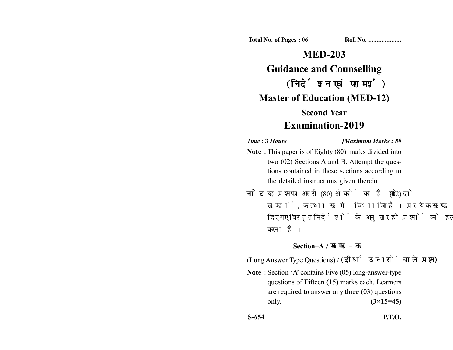**Total No. of Pages : 06 Roll No. ...................** 

# **MED-203 Guidance and Counselling** (निर्देशन एवं परामर्श) **Master of Education (MED-12) Second Year Examination-2019**

### *Time :* **3** *Hours [Maximum Marks : 80*

- **Note :** This paper is of Eighty (80) marks divided into two (02) Sections A and B. Attempt the questions contained in these sections according to the detailed instructions given therein.
- नोट: यह प्रश्नपत्र अस्सी (80) अंकों का है जो दो (02) खण्डों, क तथा ख में विभाजित है। प्रत्येक खण्ड में दिए गए विस्तृत निर्देशों के अनुसार ही प्रश्नों को हल करना है।

## **Section–A /**

(Long Answer Type Questions) / (दीर्घ उत्तरों वाले प्रश्न)

**Note :** Section 'A' contains Five (05) long-answer-type questions of Fifteen (15) marks each. Learners are required to answer any three (03) questions only. **(3×15=45)**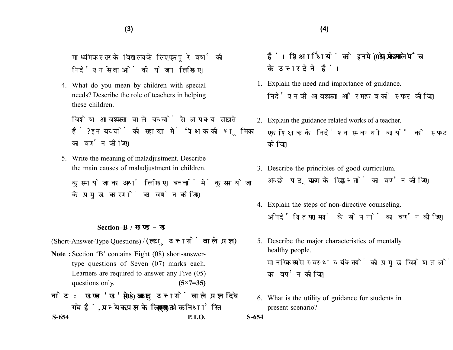माध्यमिक स्तर के विद्यालय के लिए एक पूरे वर्ष की निर्देशन सेवाओं की योजना लिखिए।

4. What do you mean by children with special needs? Describe the role of teachers in helping these children.

विशेष आवश्यकता वाले बच्चों से आप क्या समझते हैं? इन बच्चों की सहायता में शिक्षक की भूमिका का वर्णन कोजिए।

5. Write the meaning of maladjustment. Describe the main causes of maladjustment in children.

कुसमायोजन का अर्थ लिखिए। बच्चों में कुसमायोजन के प्रमख कारणों का वर्णन कीजिए।

#### **Section–B /**

(Short-Answer-Type Questions) / (लघु उत्तरों वाले प्रश्न)

- **Note :** Section 'B' contains Eight (08) short-answertype questions of Seven (07) marks each. Learners are required to answer any Five (05) questions only. **(5×7=35)**
- नोट: खण्ड 'ख' में आठ (08) लघ उत्तरों वाले प्रश्न दिये **(07) S-654 P.T.O.**
- हैं। शिक्षार्थियों को इनमें से केवल पाँच (05) प्रश्नों के उत्तर देने हैं।
- 1. Explain the need and importance of guidance. निर्देशन की आवश्यकता और महत्व को स्पष्ट कीजिए।
- 2. Explain the guidance related works of a teacher. एक शिक्षक के निर्देशन सम्बन्धी कार्यों को स्पष्ट कोजिए।
- 3. Describe the principles of good curriculum. अच्छे पाठयक्रम के सिद्धान्तों का वर्णन कोजिए।
- 4. Explain the steps of non-directive counseling. अनिर्देशित परामर्श के सोपानों का वर्णन कोजिए।
- 5. Describe the major characteristics of mentally healthy people. मानसिक रूप से स्वस्थ व्यक्तियों की प्रमुख विशेषताओं का वर्णन कोजिए।
- 6. What is the utility of guidance for students in present scenario?
- **S-654**